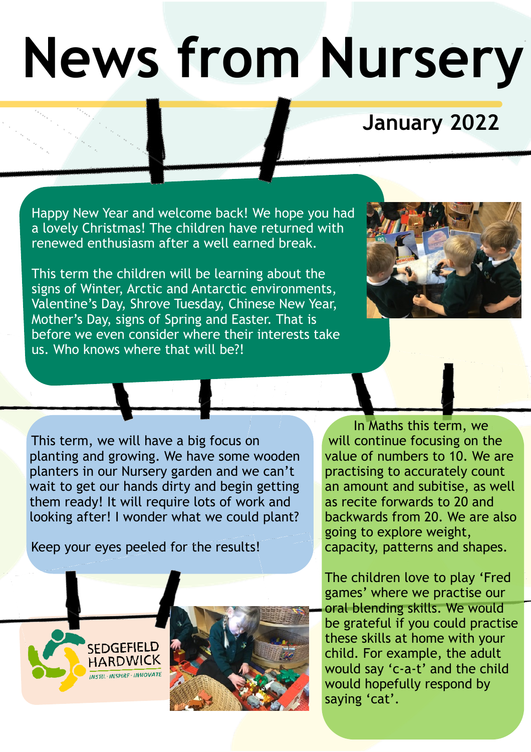## **News from Nursery**

## **January 2022**

Happy New Year and welcome back! We hope you had a lovely Christmas! The children have returned with renewed enthusiasm after a well earned break.

This term the children will be learning about the signs of Winter, Arctic and Antarctic environments, Valentine's Day, Shrove Tuesday, Chinese New Year, Mother's Day, signs of Spring and Easter. That is before we even consider where their interests take us. Who knows where that will be?!



This term, we will have a big focus on planting and growing. We have some wooden planters in our Nursery garden and we can't wait to get our hands dirty and begin getting them ready! It will require lots of work and looking after! I wonder what we could plant?

Keep your eyes peeled for the results!





In Maths this term, we will continue focusing on the value of numbers to 10. We are practising to accurately count an amount and subitise, as well as recite forwards to 20 and backwards from 20. We are also going to explore weight, capacity, patterns and shapes.

The children love to play 'Fred games' where we practise our oral blending skills. We would be grateful if you could practise these skills at home with your child. For example, the adult would say 'c-a-t' and the child would hopefully respond by saying 'cat'.